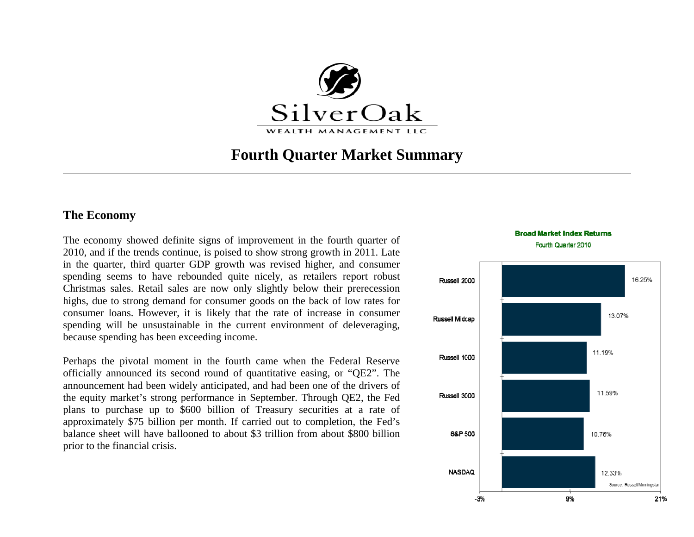

# **Fourth Quarter Market Summary**

#### **The Economy**

The economy showed definite signs of improvement in the fourth quarter of 2010, and if the trends continue, is poised to show strong growth in 2011. Late in the quarter, third quarter GDP growth was revised higher, and consumer spending seems to have rebounded quite nicely, as retailers report robust Christmas sales. Retail sales are now only slightly below their prerecession highs, due to strong demand for consumer goods on the back of low rates for consumer loans. However, it is likely that the rate of increase in consumer spending will be unsustainable in the current environment of deleveraging, because spending has been exceeding income.

Perhaps the pivotal moment in the fourth came when the Federal Reserve officially announced its second round of quantitative easing, or "QE2". The announcement had been widely anticipated, and had been one of the drivers of the equity market's strong performance in September. Through QE2, the Fed plans to purchase up to \$600 billion of Treasury securities at a rate of approximately \$75 billion per month. If carried out to completion, the Fed's balance sheet will have ballooned to about \$3 trillion from about \$800 billion prior to the financial crisis.



**Broad Market Index Returns**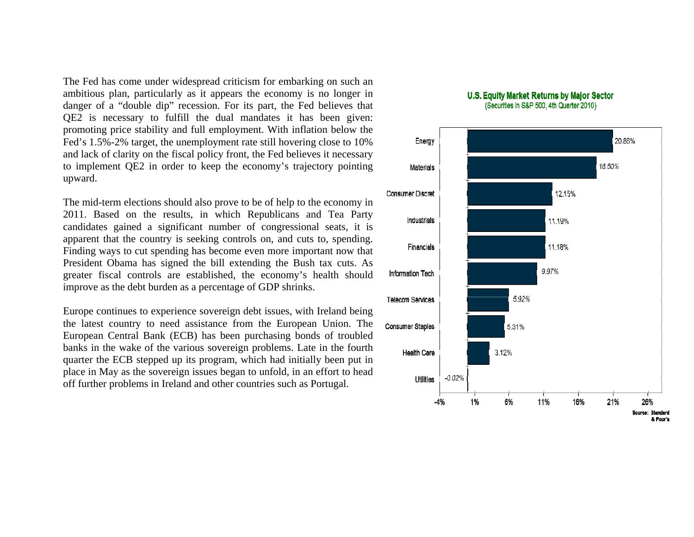The Fed has come under widespread criticism for embarking on such an ambitious plan, particularly as it appears the economy is no longer in danger of a "double dip" recession. For its part, the Fed believes that QE2 is necessary to fulfill the dual mandates it has been given: promoting price stability and full employment. With inflation below the Fed's 1.5%-2% target, the unemployment rate still hovering close to 10% and lack of clarity on the fiscal policy front, the Fed believes it necessary to implement QE2 in order to keep the economy's trajectory pointing upward.

The mid-term elections should also prove to be of help to the economy in 2011. Based on the results, in which Republicans and Tea Party candidates gained a significant number of congressional seats, it is apparent that the country is seeking controls on, and cuts to, spending. Finding ways to cut spending has become even more important now that President Obama has signed the bill extending the Bush tax cuts. As greater fiscal controls are established, the economy's health should improve as the debt burden as a percentage of GDP shrinks.

Europe continues to experience sovereign debt issues, with Ireland being the latest country to need assistance from the European Union. The European Central Bank (ECB) has been purchasing bonds of troubled banks in the wake of the various sovereign problems. Late in the fourth quarter the ECB stepped up its program, which had initially been put in place in May as the sovereign issues began to unfold, in an effort to head off further problems in Ireland and other countries such as Portugal.



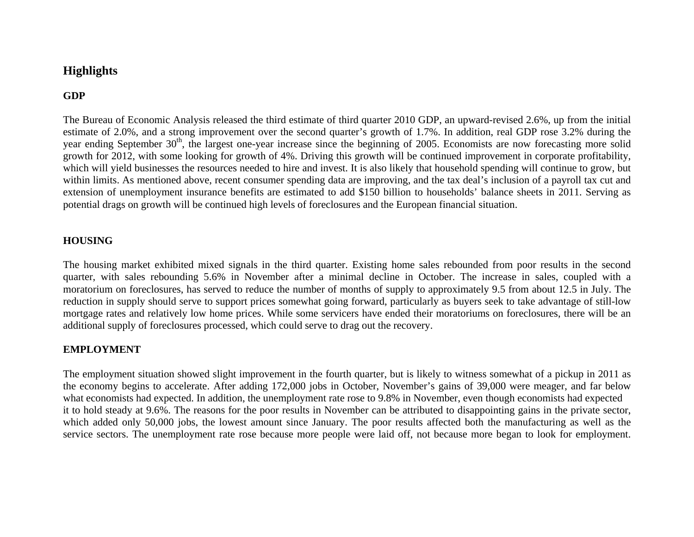## **Highlights**

## **GDP**

The Bureau of Economic Analysis released the third estimate of third quarter 2010 GDP, an upward-revised 2.6%, up from the initial estimate of 2.0%, and a strong improvement over the second quarter's growth of 1.7%. In addition, real GDP rose 3.2% during the year ending September  $30<sup>th</sup>$ , the largest one-year increase since the beginning of 2005. Economists are now forecasting more solid growth for 2012, with some looking for growth of 4%. Driving this growth will be continued improvement in corporate profitability, which will yield businesses the resources needed to hire and invest. It is also likely that household spending will continue to grow, but within limits. As mentioned above, recent consumer spending data are improving, and the tax deal's inclusion of a payroll tax cut and extension of unemployment insurance benefits are estimated to add \$150 billion to households' balance sheets in 2011. Serving as potential drags on growth will be continued high levels of foreclosures and the European financial situation.

#### **HOUSING**

The housing market exhibited mixed signals in the third quarter. Existing home sales rebounded from poor results in the second quarter, with sales rebounding 5.6% in November after a minimal decline in October. The increase in sales, coupled with a moratorium on foreclosures, has served to reduce the number of months of supply to approximately 9.5 from about 12.5 in July. The reduction in supply should serve to support prices somewhat going forward, particularly as buyers seek to take advantage of still-low mortgage rates and relatively low home prices. While some servicers have ended their moratoriums on foreclosures, there will be an additional supply of foreclosures processed, which could serve to drag out the recovery.

#### **EMPLOYMENT**

The employment situation showed slight improvement in the fourth quarter, but is likely to witness somewhat of a pickup in 2011 as the economy begins to accelerate. After adding 172,000 jobs in October, November's gains of 39,000 were meager, and far below what economists had expected. In addition, the unemployment rate rose to 9.8% in November, even though economists had expected it to hold steady at 9.6%. The reasons for the poor results in November can be attributed to disappointing gains in the private sector, which added only 50,000 jobs, the lowest amount since January. The poor results affected both the manufacturing as well as the service sectors. The unemployment rate rose because more people were laid off, not because more began to look for employment.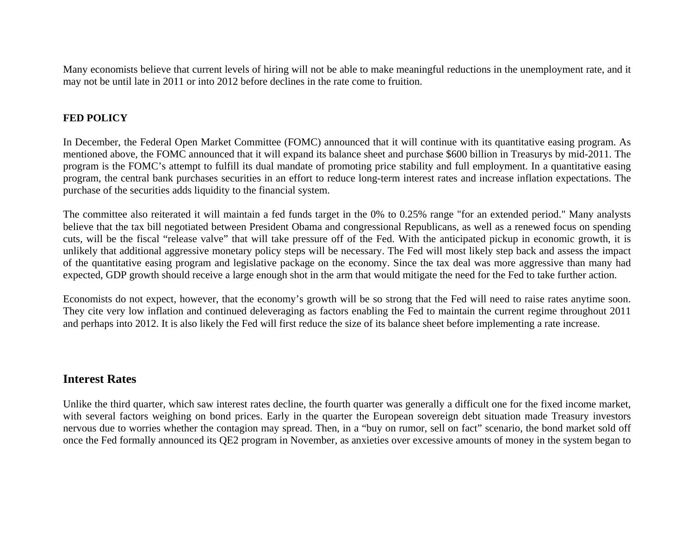Many economists believe that current levels of hiring will not be able to make meaningful reductions in the unemployment rate, and it may not be until late in 2011 or into 2012 before declines in the rate come to fruition.

### **FED POLICY**

In December, the Federal Open Market Committee (FOMC) announced that it will continue with its quantitative easing program. As mentioned above, the FOMC announced that it will expand its balance sheet and purchase \$600 billion in Treasurys by mid-2011. The program is the FOMC's attempt to fulfill its dual mandate of promoting price stability and full employment. In a quantitative easing program, the central bank purchases securities in an effort to reduce long-term interest rates and increase inflation expectations. The purchase of the securities adds liquidity to the financial system.

The committee also reiterated it will maintain a fed funds target in the 0% to 0.25% range "for an extended period." Many analysts believe that the tax bill negotiated between President Obama and congressional Republicans, as well as a renewed focus on spending cuts, will be the fiscal "release valve" that will take pressure off of the Fed. With the anticipated pickup in economic growth, it is unlikely that additional aggressive monetary policy steps will be necessary. The Fed will most likely step back and assess the impact of the quantitative easing program and legislative package on the economy. Since the tax deal was more aggressive than many had expected, GDP growth should receive a large enough shot in the arm that would mitigate the need for the Fed to take further action.

Economists do not expect, however, that the economy's growth will be so strong that the Fed will need to raise rates anytime soon. They cite very low inflation and continued deleveraging as factors enabling the Fed to maintain the current regime throughout 2011 and perhaps into 2012. It is also likely the Fed will first reduce the size of its balance sheet before implementing a rate increase.

## **Interest Rates**

Unlike the third quarter, which saw interest rates decline, the fourth quarter was generally a difficult one for the fixed income market, with several factors weighing on bond prices. Early in the quarter the European sovereign debt situation made Treasury investors nervous due to worries whether the contagion may spread. Then, in a "buy on rumor, sell on fact" scenario, the bond market sold off once the Fed formally announced its QE2 program in November, as anxieties over excessive amounts of money in the system began to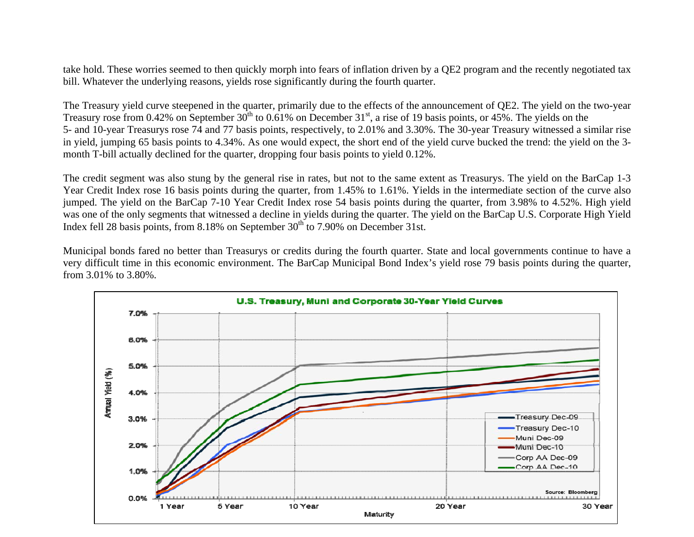take hold. These worries seemed to then quickly morph into fears of inflation driven by a QE2 program and the recently negotiated tax bill. Whatever the underlying reasons, yields rose significantly during the fourth quarter.

The Treasury yield curve steepened in the quarter, primarily due to the effects of the announcement of QE2. The yield on the two-year Treasury rose from 0.42% on September  $30^{th}$  to 0.61% on December  $31^{st}$ , a rise of 19 basis points, or 45%. The yields on the 5- and 10-year Treasurys rose 74 and 77 basis points, respectively, to 2.01% and 3.30%. The 30-year Treasury witnessed a similar rise in yield, jumping 65 basis points to 4.34%. As one would expect, the short end of the yield curve bucked the trend: the yield on the 3 month T-bill actually declined for the quarter, dropping four basis points to yield 0.12%.

The credit segment was also stung by the general rise in rates, but not to the same extent as Treasurys. The yield on the BarCap 1-3 Year Credit Index rose 16 basis points during the quarter, from 1.45% to 1.61%. Yields in the intermediate section of the curve also jumped. The yield on the BarCap 7-10 Year Credit Index rose 54 basis points during the quarter, from 3.98% to 4.52%. High yield was one of the only segments that witnessed a decline in yields during the quarter. The yield on the BarCap U.S. Corporate High Yield Index fell 28 basis points, from  $8.18\%$  on September 30<sup>th</sup> to 7.90% on December 31st.

Municipal bonds fared no better than Treasurys or credits during the fourth quarter. State and local governments continue to have a very difficult time in this economic environment. The BarCap Municipal Bond Index's yield rose 79 basis points during the quarter, from 3.01% to 3.80%.